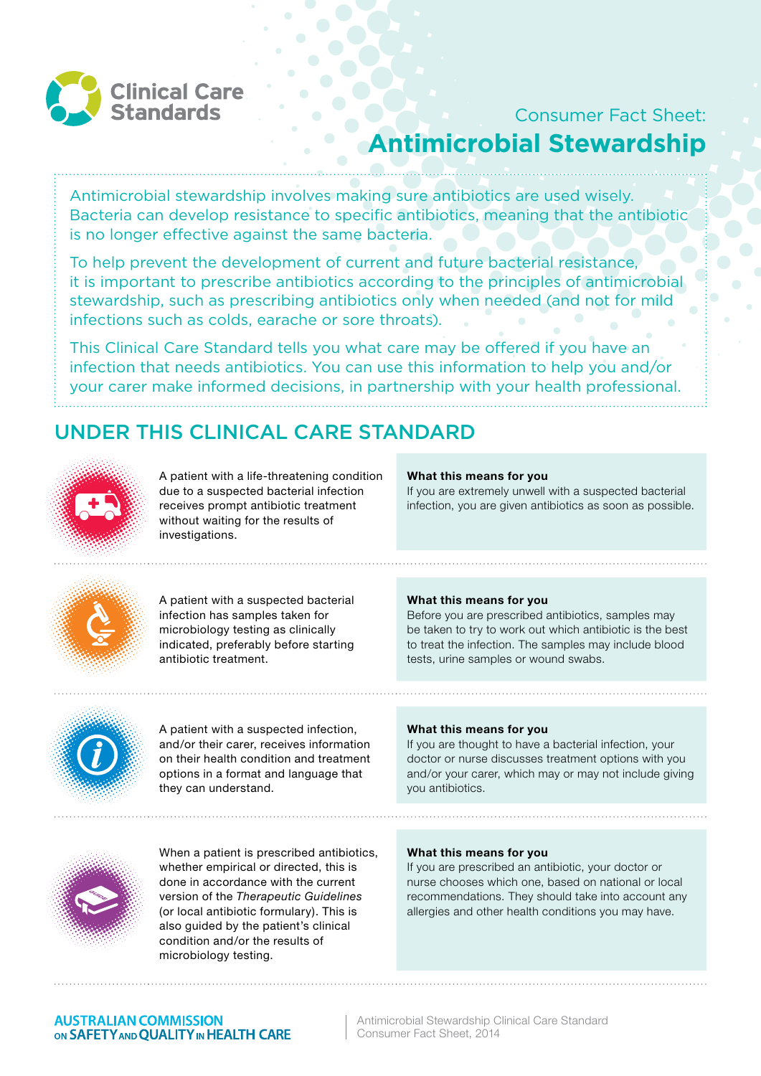

# Consumer Fact Sheet: **Antimicrobial Stewardship**

Antimicrobial stewardship involves making sure antibiotics are used wisely. Bacteria can develop resistance to specific antibiotics, meaning that the antibiotic is no longer effective against the same bacteria.

To help prevent the development of current and future bacterial resistance, it is important to prescribe antibiotics according to the principles of antimicrobial stewardship, such as prescribing antibiotics only when needed (and not for mild infections such as colds, earache or sore throats).

This Clinical Care Standard tells you what care may be offered if you have an infection that needs antibiotics. You can use this information to help you and/or your carer make informed decisions, in partnership with your health professional.

## UNDER THIS CLINICAL CARE STANDARD



A patient with a life-threatening condition due to a suspected bacterial infection receives prompt antibiotic treatment without waiting for the results of investigations.

## **What this means for you**

If you are extremely unwell with a suspected bacterial infection, you are given antibiotics as soon as possible.



A patient with a suspected bacterial infection has samples taken for microbiology testing as clinically indicated, preferably before starting antibiotic treatment.

## **What this means for you**

Before you are prescribed antibiotics, samples may be taken to try to work out which antibiotic is the best to treat the infection. The samples may include blood tests, urine samples or wound swabs.



A patient with a suspected infection, and/or their carer, receives information on their health condition and treatment options in a format and language that they can understand.

## **What this means for you**

If you are thought to have a bacterial infection, your doctor or nurse discusses treatment options with you and/or your carer, which may or may not include giving you antibiotics.



When a patient is prescribed antibiotics, whether empirical or directed, this is done in accordance with the current version of the *Therapeutic Guidelines* (or local antibiotic formulary). This is also guided by the patient's clinical condition and/or the results of microbiology testing.

## **What this means for you**

If you are prescribed an antibiotic, your doctor or nurse chooses which one, based on national or local recommendations. They should take into account any allergies and other health conditions you may have.

## **AUSTRALIAN COMMISSION** ON SAFETY AND QUALITY IN HEALTH CARE